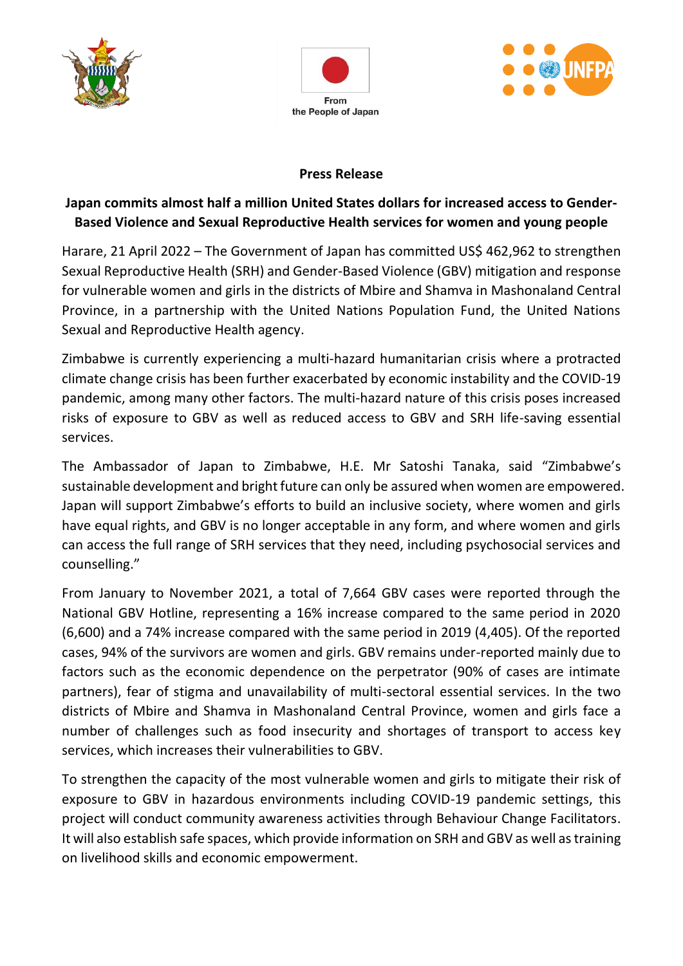





## **Press Release**

## **Japan commits almost half a million United States dollars for increased access to Gender-Based Violence and Sexual Reproductive Health services for women and young people**

Harare, 21 April 2022 – The Government of Japan has committed US\$ 462,962 to strengthen Sexual Reproductive Health (SRH) and Gender-Based Violence (GBV) mitigation and response for vulnerable women and girls in the districts of Mbire and Shamva in Mashonaland Central Province, in a partnership with the United Nations Population Fund, the United Nations Sexual and Reproductive Health agency.

Zimbabwe is currently experiencing a multi-hazard humanitarian crisis where a protracted climate change crisis has been further exacerbated by economic instability and the COVID-19 pandemic, among many other factors. The multi-hazard nature of this crisis poses increased risks of exposure to GBV as well as reduced access to GBV and SRH life-saving essential services.

The Ambassador of Japan to Zimbabwe, H.E. Mr Satoshi Tanaka, said "Zimbabwe's sustainable development and bright future can only be assured when women are empowered. Japan will support Zimbabwe's efforts to build an inclusive society, where women and girls have equal rights, and GBV is no longer acceptable in any form, and where women and girls can access the full range of SRH services that they need, including psychosocial services and counselling."

From January to November 2021, a total of 7,664 GBV cases were reported through the National GBV Hotline, representing a 16% increase compared to the same period in 2020 (6,600) and a 74% increase compared with the same period in 2019 (4,405). Of the reported cases, 94% of the survivors are women and girls. GBV remains under-reported mainly due to factors such as the economic dependence on the perpetrator (90% of cases are intimate partners), fear of stigma and unavailability of multi-sectoral essential services. In the two districts of Mbire and Shamva in Mashonaland Central Province, women and girls face a number of challenges such as food insecurity and shortages of transport to access key services, which increases their vulnerabilities to GBV.

To strengthen the capacity of the most vulnerable women and girls to mitigate their risk of exposure to GBV in hazardous environments including COVID-19 pandemic settings, this project will conduct community awareness activities through Behaviour Change Facilitators. It will also establish safe spaces, which provide information on SRH and GBV as well as training on livelihood skills and economic empowerment.